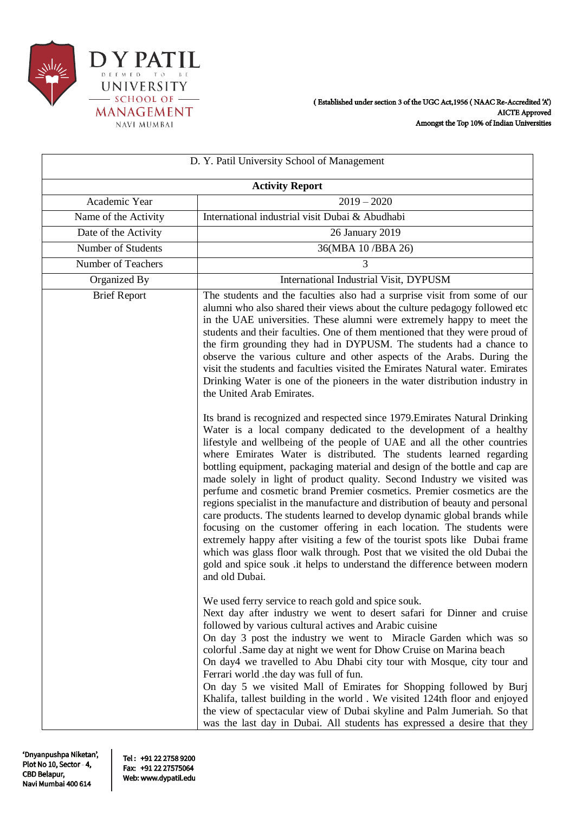

| D. Y. Patil University School of Management |                                                                                                                                                                                                                                                                                                                                                                                                                                                                                                                                                                                                                                                                                                                                                                                                                                                                                                                                                                                                                                              |  |  |
|---------------------------------------------|----------------------------------------------------------------------------------------------------------------------------------------------------------------------------------------------------------------------------------------------------------------------------------------------------------------------------------------------------------------------------------------------------------------------------------------------------------------------------------------------------------------------------------------------------------------------------------------------------------------------------------------------------------------------------------------------------------------------------------------------------------------------------------------------------------------------------------------------------------------------------------------------------------------------------------------------------------------------------------------------------------------------------------------------|--|--|
| <b>Activity Report</b>                      |                                                                                                                                                                                                                                                                                                                                                                                                                                                                                                                                                                                                                                                                                                                                                                                                                                                                                                                                                                                                                                              |  |  |
| Academic Year                               | $2019 - 2020$                                                                                                                                                                                                                                                                                                                                                                                                                                                                                                                                                                                                                                                                                                                                                                                                                                                                                                                                                                                                                                |  |  |
| Name of the Activity                        | International industrial visit Dubai & Abudhabi                                                                                                                                                                                                                                                                                                                                                                                                                                                                                                                                                                                                                                                                                                                                                                                                                                                                                                                                                                                              |  |  |
| Date of the Activity                        | 26 January 2019                                                                                                                                                                                                                                                                                                                                                                                                                                                                                                                                                                                                                                                                                                                                                                                                                                                                                                                                                                                                                              |  |  |
| Number of Students                          | 36(MBA 10/BBA 26)                                                                                                                                                                                                                                                                                                                                                                                                                                                                                                                                                                                                                                                                                                                                                                                                                                                                                                                                                                                                                            |  |  |
| Number of Teachers                          | 3                                                                                                                                                                                                                                                                                                                                                                                                                                                                                                                                                                                                                                                                                                                                                                                                                                                                                                                                                                                                                                            |  |  |
| Organized By                                | International Industrial Visit, DYPUSM                                                                                                                                                                                                                                                                                                                                                                                                                                                                                                                                                                                                                                                                                                                                                                                                                                                                                                                                                                                                       |  |  |
| <b>Brief Report</b>                         | The students and the faculties also had a surprise visit from some of our<br>alumni who also shared their views about the culture pedagogy followed etc<br>in the UAE universities. These alumni were extremely happy to meet the<br>students and their faculties. One of them mentioned that they were proud of<br>the firm grounding they had in DYPUSM. The students had a chance to<br>observe the various culture and other aspects of the Arabs. During the<br>visit the students and faculties visited the Emirates Natural water. Emirates<br>Drinking Water is one of the pioneers in the water distribution industry in<br>the United Arab Emirates.                                                                                                                                                                                                                                                                                                                                                                               |  |  |
|                                             | Its brand is recognized and respected since 1979. Emirates Natural Drinking<br>Water is a local company dedicated to the development of a healthy<br>lifestyle and wellbeing of the people of UAE and all the other countries<br>where Emirates Water is distributed. The students learned regarding<br>bottling equipment, packaging material and design of the bottle and cap are<br>made solely in light of product quality. Second Industry we visited was<br>perfume and cosmetic brand Premier cosmetics. Premier cosmetics are the<br>regions specialist in the manufacture and distribution of beauty and personal<br>care products. The students learned to develop dynamic global brands while<br>focusing on the customer offering in each location. The students were<br>extremely happy after visiting a few of the tourist spots like Dubai frame<br>which was glass floor walk through. Post that we visited the old Dubai the<br>gold and spice souk .it helps to understand the difference between modern<br>and old Dubai. |  |  |
|                                             | We used ferry service to reach gold and spice souk.<br>Next day after industry we went to desert safari for Dinner and cruise<br>followed by various cultural actives and Arabic cuisine<br>On day 3 post the industry we went to Miracle Garden which was so<br>colorful .Same day at night we went for Dhow Cruise on Marina beach<br>On day4 we travelled to Abu Dhabi city tour with Mosque, city tour and<br>Ferrari world .the day was full of fun.<br>On day 5 we visited Mall of Emirates for Shopping followed by Burj<br>Khalifa, tallest building in the world. We visited 124th floor and enjoyed<br>the view of spectacular view of Dubai skyline and Palm Jumeriah. So that<br>was the last day in Dubai. All students has expressed a desire that they                                                                                                                                                                                                                                                                        |  |  |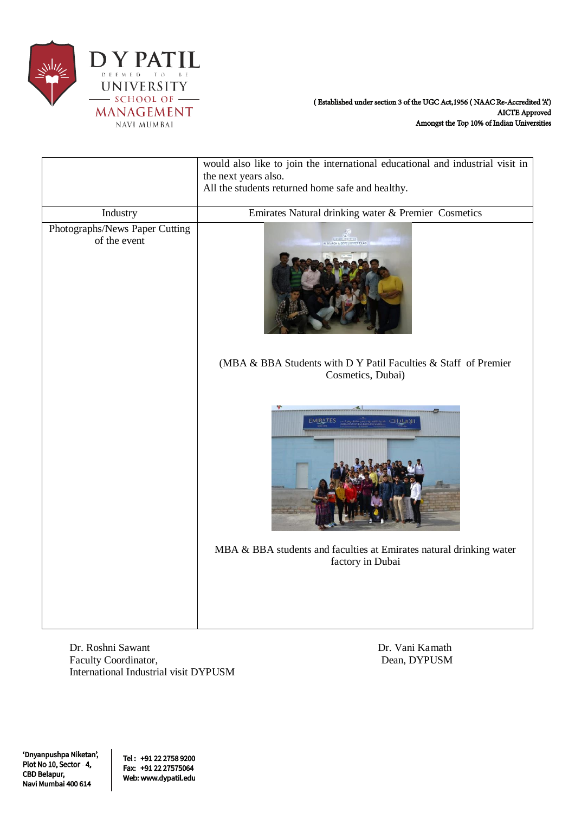

|                                                | would also like to join the international educational and industrial visit in           |  |  |
|------------------------------------------------|-----------------------------------------------------------------------------------------|--|--|
|                                                | the next years also.<br>All the students returned home safe and healthy.                |  |  |
|                                                |                                                                                         |  |  |
| Industry                                       | Emirates Natural drinking water & Premier Cosmetics                                     |  |  |
| Photographs/News Paper Cutting<br>of the event | RESEARCH & DEVELOPMENT LAB                                                              |  |  |
|                                                | (MBA & BBA Students with D Y Patil Faculties & Staff of Premier<br>Cosmetics, Dubai)    |  |  |
|                                                | <b>EMIRATES</b><br>الامادات                                                             |  |  |
|                                                | MBA & BBA students and faculties at Emirates natural drinking water<br>factory in Dubai |  |  |
|                                                |                                                                                         |  |  |

Dr. Roshni Sawant Dr. Vani Kamath Faculty Coordinator, Dean, DYPUSM International Industrial visit DYPUSM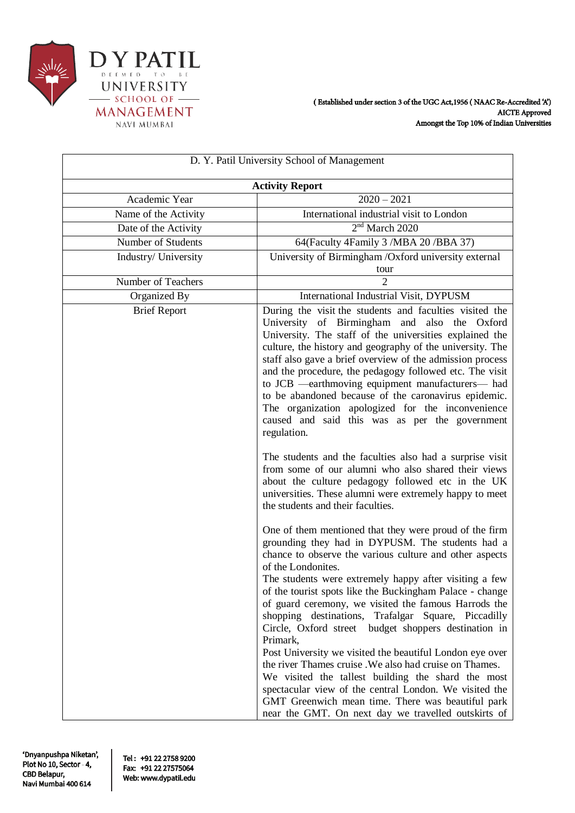

| D. Y. Patil University School of Management |                                                                                                                                                                                                                                                                                                                                                                                                                                                                                                                                                                                                                                                                                                                                                                                                                                                                                                                                                                                                                                            |  |  |
|---------------------------------------------|--------------------------------------------------------------------------------------------------------------------------------------------------------------------------------------------------------------------------------------------------------------------------------------------------------------------------------------------------------------------------------------------------------------------------------------------------------------------------------------------------------------------------------------------------------------------------------------------------------------------------------------------------------------------------------------------------------------------------------------------------------------------------------------------------------------------------------------------------------------------------------------------------------------------------------------------------------------------------------------------------------------------------------------------|--|--|
| <b>Activity Report</b>                      |                                                                                                                                                                                                                                                                                                                                                                                                                                                                                                                                                                                                                                                                                                                                                                                                                                                                                                                                                                                                                                            |  |  |
| Academic Year                               | $2020 - 2021$                                                                                                                                                                                                                                                                                                                                                                                                                                                                                                                                                                                                                                                                                                                                                                                                                                                                                                                                                                                                                              |  |  |
| Name of the Activity                        | International industrial visit to London                                                                                                                                                                                                                                                                                                                                                                                                                                                                                                                                                                                                                                                                                                                                                                                                                                                                                                                                                                                                   |  |  |
| Date of the Activity                        | 2 <sup>nd</sup> March 2020                                                                                                                                                                                                                                                                                                                                                                                                                                                                                                                                                                                                                                                                                                                                                                                                                                                                                                                                                                                                                 |  |  |
| Number of Students                          | 64(Faculty 4Family 3 /MBA 20 /BBA 37)                                                                                                                                                                                                                                                                                                                                                                                                                                                                                                                                                                                                                                                                                                                                                                                                                                                                                                                                                                                                      |  |  |
| Industry/ University                        | University of Birmingham /Oxford university external<br>tour                                                                                                                                                                                                                                                                                                                                                                                                                                                                                                                                                                                                                                                                                                                                                                                                                                                                                                                                                                               |  |  |
| Number of Teachers                          | $\overline{c}$                                                                                                                                                                                                                                                                                                                                                                                                                                                                                                                                                                                                                                                                                                                                                                                                                                                                                                                                                                                                                             |  |  |
| Organized By                                | International Industrial Visit, DYPUSM                                                                                                                                                                                                                                                                                                                                                                                                                                                                                                                                                                                                                                                                                                                                                                                                                                                                                                                                                                                                     |  |  |
| <b>Brief Report</b>                         | During the visit the students and faculties visited the<br>University of Birmingham and also the Oxford<br>University. The staff of the universities explained the<br>culture, the history and geography of the university. The<br>staff also gave a brief overview of the admission process<br>and the procedure, the pedagogy followed etc. The visit<br>to JCB -earthmoving equipment manufacturers- had<br>to be abandoned because of the caronavirus epidemic.<br>The organization apologized for the inconvenience<br>caused and said this was as per the government<br>regulation.<br>The students and the faculties also had a surprise visit<br>from some of our alumni who also shared their views<br>about the culture pedagogy followed etc in the UK<br>universities. These alumni were extremely happy to meet<br>the students and their faculties.<br>One of them mentioned that they were proud of the firm<br>grounding they had in DYPUSM. The students had a<br>chance to observe the various culture and other aspects |  |  |
|                                             | of the Londonites.<br>The students were extremely happy after visiting a few<br>of the tourist spots like the Buckingham Palace - change<br>of guard ceremony, we visited the famous Harrods the<br>shopping destinations, Trafalgar Square, Piccadilly<br>Circle, Oxford street budget shoppers destination in<br>Primark,                                                                                                                                                                                                                                                                                                                                                                                                                                                                                                                                                                                                                                                                                                                |  |  |
|                                             | Post University we visited the beautiful London eye over<br>the river Thames cruise. We also had cruise on Thames.<br>We visited the tallest building the shard the most<br>spectacular view of the central London. We visited the<br>GMT Greenwich mean time. There was beautiful park<br>near the GMT. On next day we travelled outskirts of                                                                                                                                                                                                                                                                                                                                                                                                                                                                                                                                                                                                                                                                                             |  |  |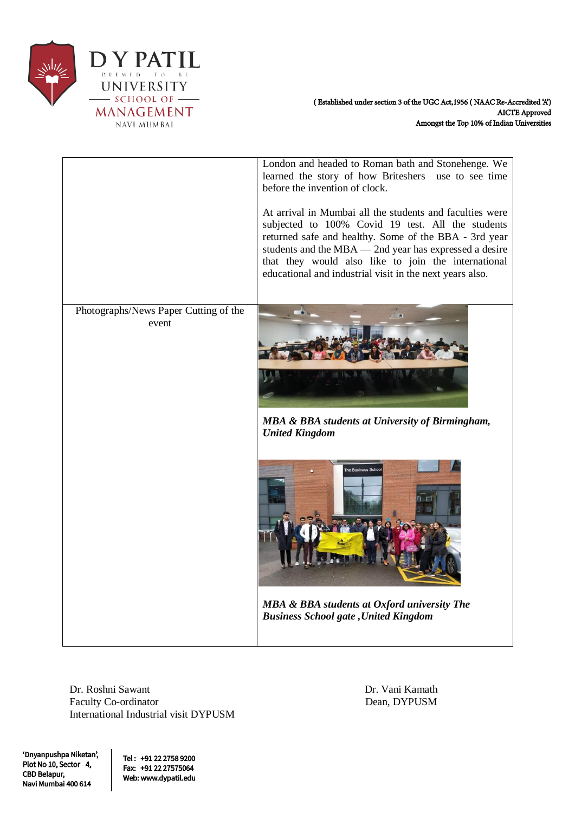

|                                                | London and headed to Roman bath and Stonehenge. We<br>learned the story of how Briteshers use to see time<br>before the invention of clock.<br>At arrival in Mumbai all the students and faculties were<br>subjected to 100% Covid 19 test. All the students<br>returned safe and healthy. Some of the BBA - 3rd year<br>students and the MBA — 2nd year has expressed a desire<br>that they would also like to join the international<br>educational and industrial visit in the next years also. |
|------------------------------------------------|----------------------------------------------------------------------------------------------------------------------------------------------------------------------------------------------------------------------------------------------------------------------------------------------------------------------------------------------------------------------------------------------------------------------------------------------------------------------------------------------------|
| Photographs/News Paper Cutting of the<br>event | MBA & BBA students at University of Birmingham,<br><b>United Kingdom</b><br>The Business Scho<br>MBA & BBA students at Oxford university The<br><b>Business School gate , United Kingdom</b>                                                                                                                                                                                                                                                                                                       |

Dr. Roshni Sawant Dr. Vani Kamath Faculty Co-ordinator Dean, DYPUSM International Industrial visit DYPUSM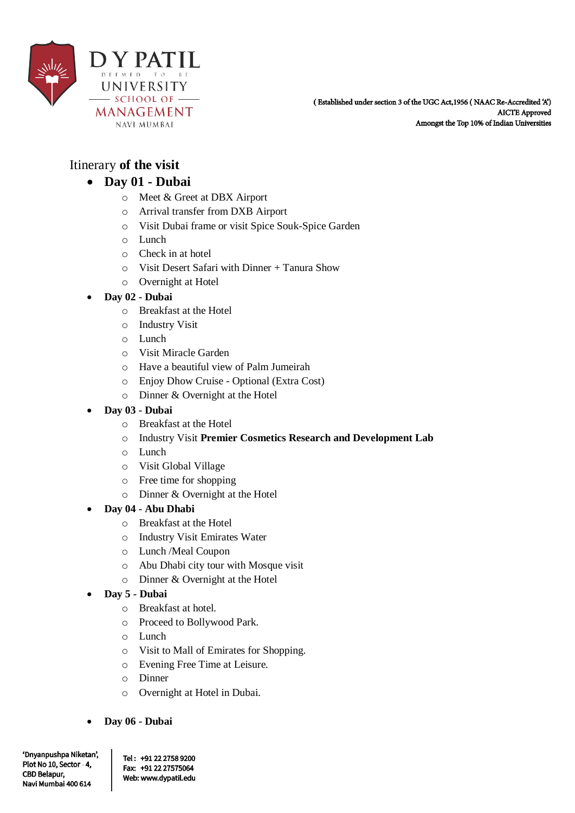

# Itinerary **of the visit**

## **Day 01 - Dubai**

- o Meet & Greet at DBX Airport
- o Arrival transfer from DXB Airport
- o Visit Dubai frame or visit Spice Souk-Spice Garden
- o Lunch
- o Check in at hotel
- o Visit Desert Safari with Dinner + Tanura Show
- o Overnight at Hotel

#### **Day 02 - Dubai**

- o Breakfast at the Hotel
- o Industry Visit
- o Lunch
- o Visit Miracle Garden
- o Have a beautiful view of Palm Jumeirah
- o Enjoy Dhow Cruise Optional (Extra Cost)
- o Dinner & Overnight at the Hotel

### **Day 03 - Dubai**

- o Breakfast at the Hotel
- o Industry Visit **Premier Cosmetics Research and Development Lab**
- o Lunch
- o Visit Global Village
- o Free time for shopping
- o Dinner & Overnight at the Hotel

### **Day 04 - Abu Dhabi**

- o Breakfast at the Hotel
- o Industry Visit Emirates Water
- o Lunch /Meal Coupon
- o Abu Dhabi city tour with Mosque visit
- o Dinner & Overnight at the Hotel

### **Day 5 - Dubai**

- o Breakfast at hotel.
- o Proceed to Bollywood Park.
- o Lunch
- o Visit to Mall of Emirates for Shopping.
- o Evening Free Time at Leisure.
- o Dinner
- o Overnight at Hotel in Dubai.
- **Day 06 - Dubai**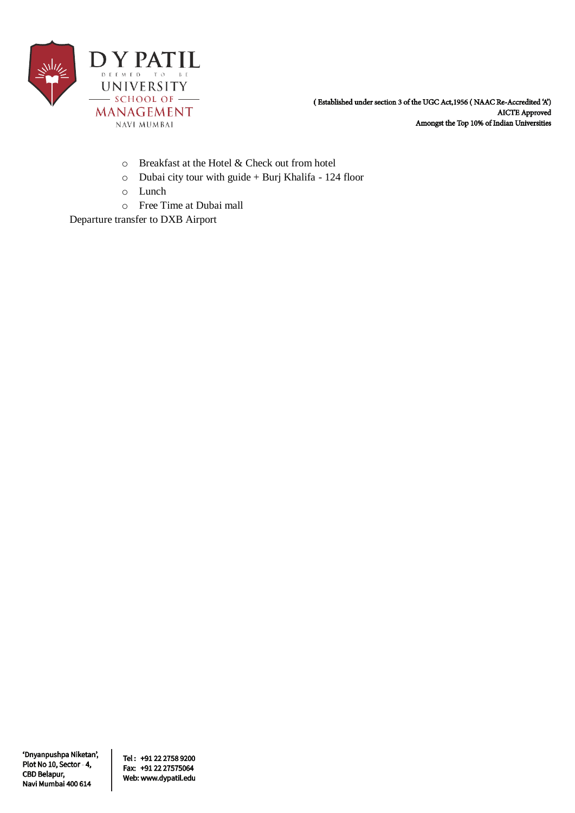

- o Breakfast at the Hotel & Check out from hotel
- o Dubai city tour with guide + Burj Khalifa 124 floor
- o Lunch
- o Free Time at Dubai mall

Departure transfer to DXB Airport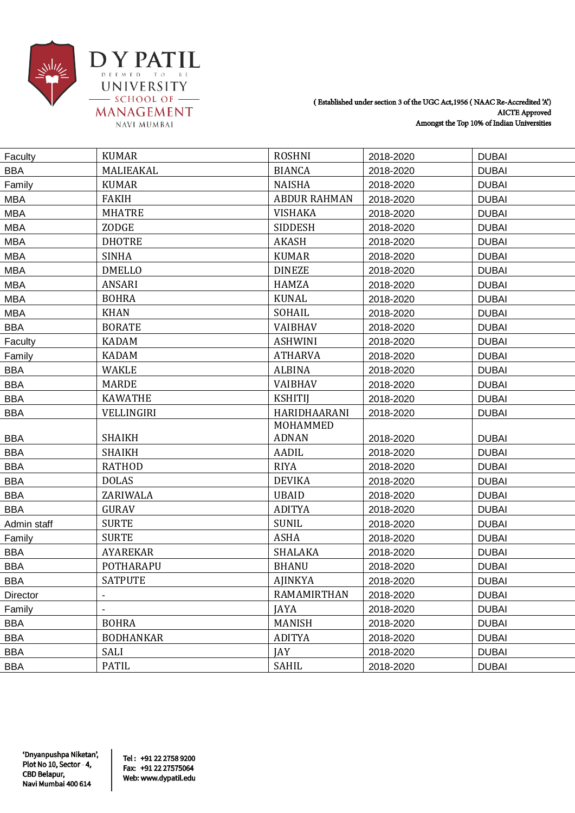

| Faculty     | <b>KUMAR</b>     | <b>ROSHNI</b>       | 2018-2020 | <b>DUBAI</b> |
|-------------|------------------|---------------------|-----------|--------------|
| <b>BBA</b>  | MALIEAKAL        | <b>BIANCA</b>       | 2018-2020 | <b>DUBAI</b> |
| Family      | <b>KUMAR</b>     | <b>NAISHA</b>       | 2018-2020 | <b>DUBAI</b> |
| <b>MBA</b>  | <b>FAKIH</b>     | <b>ABDUR RAHMAN</b> | 2018-2020 | <b>DUBAI</b> |
| <b>MBA</b>  | <b>MHATRE</b>    | <b>VISHAKA</b>      | 2018-2020 | <b>DUBAI</b> |
| <b>MBA</b>  | ZODGE            | <b>SIDDESH</b>      | 2018-2020 | <b>DUBAI</b> |
| <b>MBA</b>  | <b>DHOTRE</b>    | <b>AKASH</b>        | 2018-2020 | <b>DUBAI</b> |
| <b>MBA</b>  | <b>SINHA</b>     | <b>KUMAR</b>        | 2018-2020 | <b>DUBAI</b> |
| <b>MBA</b>  | <b>DMELLO</b>    | <b>DINEZE</b>       | 2018-2020 | <b>DUBAI</b> |
| <b>MBA</b>  | <b>ANSARI</b>    | <b>HAMZA</b>        | 2018-2020 | <b>DUBAI</b> |
| <b>MBA</b>  | <b>BOHRA</b>     | <b>KUNAL</b>        | 2018-2020 | <b>DUBAI</b> |
| <b>MBA</b>  | <b>KHAN</b>      | SOHAIL              | 2018-2020 | <b>DUBAI</b> |
| <b>BBA</b>  | <b>BORATE</b>    | <b>VAIBHAV</b>      | 2018-2020 | <b>DUBAI</b> |
| Faculty     | <b>KADAM</b>     | <b>ASHWINI</b>      | 2018-2020 | <b>DUBAI</b> |
| Family      | <b>KADAM</b>     | <b>ATHARVA</b>      | 2018-2020 | <b>DUBAI</b> |
| <b>BBA</b>  | <b>WAKLE</b>     | <b>ALBINA</b>       | 2018-2020 | <b>DUBAI</b> |
| <b>BBA</b>  | <b>MARDE</b>     | <b>VAIBHAV</b>      | 2018-2020 | <b>DUBAI</b> |
| <b>BBA</b>  | <b>KAWATHE</b>   | <b>KSHITIJ</b>      | 2018-2020 | <b>DUBAI</b> |
| <b>BBA</b>  | VELLINGIRI       | HARIDHAARANI        | 2018-2020 | <b>DUBAI</b> |
|             |                  | MOHAMMED            |           |              |
| <b>BBA</b>  | <b>SHAIKH</b>    | <b>ADNAN</b>        | 2018-2020 | <b>DUBAI</b> |
| <b>BBA</b>  | <b>SHAIKH</b>    | AADIL               | 2018-2020 | <b>DUBAI</b> |
| <b>BBA</b>  | <b>RATHOD</b>    | <b>RIYA</b>         | 2018-2020 | <b>DUBAI</b> |
| <b>BBA</b>  | <b>DOLAS</b>     | <b>DEVIKA</b>       | 2018-2020 | <b>DUBAI</b> |
| <b>BBA</b>  | ZARIWALA         | <b>UBAID</b>        | 2018-2020 | <b>DUBAI</b> |
| <b>BBA</b>  | <b>GURAV</b>     | <b>ADITYA</b>       | 2018-2020 | <b>DUBAI</b> |
| Admin staff | <b>SURTE</b>     | <b>SUNIL</b>        | 2018-2020 | <b>DUBAI</b> |
| Family      | <b>SURTE</b>     | <b>ASHA</b>         | 2018-2020 | <b>DUBAI</b> |
| <b>BBA</b>  | <b>AYAREKAR</b>  | SHALAKA             | 2018-2020 | <b>DUBAI</b> |
| <b>BBA</b>  | POTHARAPU        | <b>BHANU</b>        | 2018-2020 | <b>DUBAI</b> |
| BBA         | <b>SATPUTE</b>   | <b>AJINKYA</b>      | 2018-2020 | <b>DUBAI</b> |
| Director    |                  | RAMAMIRTHAN         | 2018-2020 | <b>DUBAI</b> |
| Family      |                  | <b>JAYA</b>         | 2018-2020 | <b>DUBAI</b> |
| <b>BBA</b>  | <b>BOHRA</b>     | <b>MANISH</b>       | 2018-2020 | <b>DUBAI</b> |
| <b>BBA</b>  | <b>BODHANKAR</b> | <b>ADITYA</b>       | 2018-2020 | <b>DUBAI</b> |
| <b>BBA</b>  | SALI             | JAY                 | 2018-2020 | <b>DUBAI</b> |
| <b>BBA</b>  | PATIL            | SAHIL               | 2018-2020 | <b>DUBAI</b> |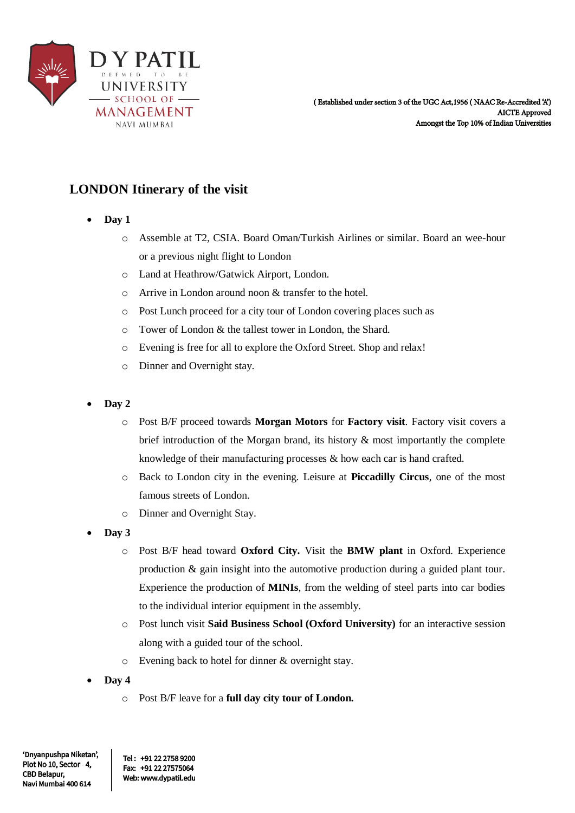

# **LONDON Itinerary of the visit**

- **Day 1** 
	- o Assemble at T2, CSIA. Board Oman/Turkish Airlines or similar. Board an wee-hour or a previous night flight to London
	- o Land at Heathrow/Gatwick Airport, London.
	- o Arrive in London around noon & transfer to the hotel.
	- o Post Lunch proceed for a city tour of London covering places such as
	- o Tower of London & the tallest tower in London, the Shard.
	- o Evening is free for all to explore the Oxford Street. Shop and relax!
	- o Dinner and Overnight stay.
- **Day 2** 
	- o Post B/F proceed towards **Morgan Motors** for **Factory visit**. Factory visit covers a brief introduction of the Morgan brand, its history & most importantly the complete knowledge of their manufacturing processes & how each car is hand crafted.
	- o Back to London city in the evening. Leisure at **Piccadilly Circus**, one of the most famous streets of London.
	- o Dinner and Overnight Stay.
- **Day 3** 
	- o Post B/F head toward **Oxford City.** Visit the **BMW plant** in Oxford. Experience production & gain insight into the automotive production during a guided plant tour. Experience the production of **MINIs**, from the welding of steel parts into car bodies to the individual interior equipment in the assembly.
	- o Post lunch visit **Said Business School (Oxford University)** for an interactive session along with a guided tour of the school.
	- o Evening back to hotel for dinner & overnight stay.
- **Day 4** 
	- o Post B/F leave for a **full day city tour of London.**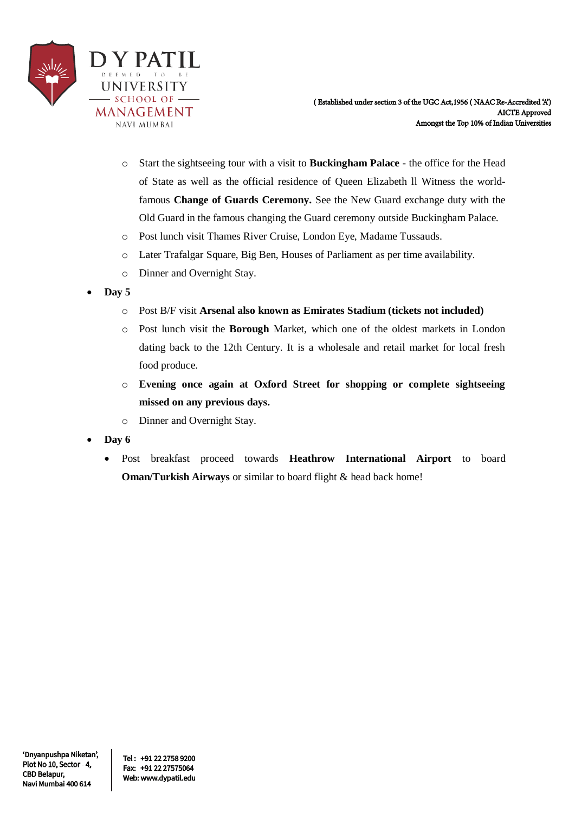

- o Start the sightseeing tour with a visit to **Buckingham Palace -** the office for the Head of State as well as the official residence of Queen Elizabeth ll Witness the worldfamous **Change of Guards Ceremony.** See the New Guard exchange duty with the Old Guard in the famous changing the Guard ceremony outside Buckingham Palace.
- o Post lunch visit Thames River Cruise, London Eye, Madame Tussauds.
- o Later Trafalgar Square, Big Ben, Houses of Parliament as per time availability.
- o Dinner and Overnight Stay.
- **Day 5** 
	- o Post B/F visit **Arsenal also known as Emirates Stadium (tickets not included)**
	- o Post lunch visit the **Borough** Market, which one of the oldest markets in London dating back to the 12th Century. It is a wholesale and retail market for local fresh food produce.
	- o **Evening once again at Oxford Street for shopping or complete sightseeing missed on any previous days.**
	- o Dinner and Overnight Stay.
- **Day 6** 
	- Post breakfast proceed towards **Heathrow International Airport** to board **Oman/Turkish Airways** or similar to board flight & head back home!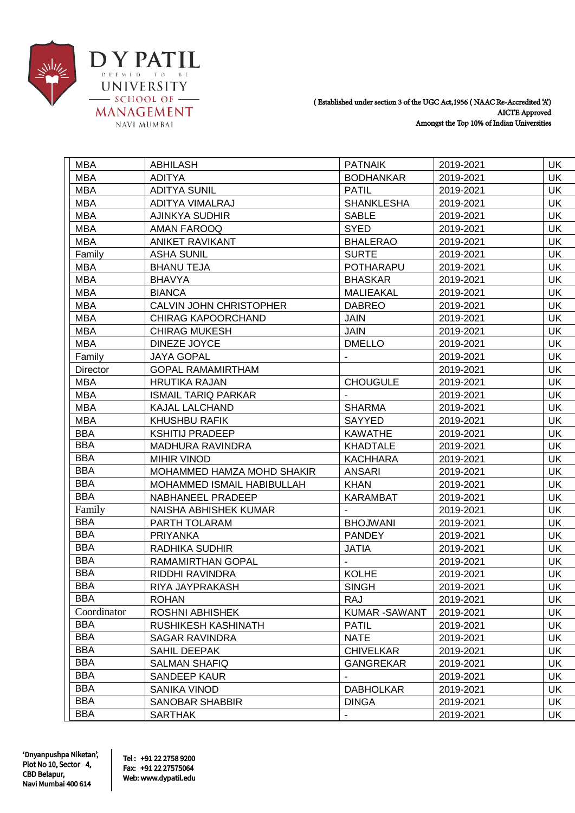

|  | <b>MBA</b>  | <b>ABHILASH</b>                | <b>PATNAIK</b>      | 2019-2021 | <b>UK</b>  |
|--|-------------|--------------------------------|---------------------|-----------|------------|
|  | <b>MBA</b>  | <b>ADITYA</b>                  | <b>BODHANKAR</b>    | 2019-2021 | <b>UK</b>  |
|  | <b>MBA</b>  | <b>ADITYA SUNIL</b>            | <b>PATIL</b>        | 2019-2021 | <b>UK</b>  |
|  | <b>MBA</b>  | ADITYA VIMALRAJ                | <b>SHANKLESHA</b>   | 2019-2021 | <b>UK</b>  |
|  | <b>MBA</b>  | AJINKYA SUDHIR                 | <b>SABLE</b>        | 2019-2021 | <b>UK</b>  |
|  | <b>MBA</b>  | AMAN FAROOQ                    | <b>SYED</b>         | 2019-2021 | UK         |
|  | <b>MBA</b>  | <b>ANIKET RAVIKANT</b>         | <b>BHALERAO</b>     | 2019-2021 | <b>UK</b>  |
|  | Family      | <b>ASHA SUNIL</b>              | <b>SURTE</b>        | 2019-2021 | UK         |
|  | <b>MBA</b>  | <b>BHANU TEJA</b>              | POTHARAPU           | 2019-2021 | <b>UK</b>  |
|  | <b>MBA</b>  | <b>BHAVYA</b>                  | <b>BHASKAR</b>      | 2019-2021 | <b>UK</b>  |
|  | <b>MBA</b>  | <b>BIANCA</b>                  | <b>MALIEAKAL</b>    | 2019-2021 | <b>UK</b>  |
|  | <b>MBA</b>  | <b>CALVIN JOHN CHRISTOPHER</b> | <b>DABREO</b>       | 2019-2021 | <b>UK</b>  |
|  | <b>MBA</b>  | <b>CHIRAG KAPOORCHAND</b>      | <b>JAIN</b>         | 2019-2021 | <b>UK</b>  |
|  | <b>MBA</b>  | <b>CHIRAG MUKESH</b>           | <b>JAIN</b>         | 2019-2021 | <b>UK</b>  |
|  | <b>MBA</b>  | DINEZE JOYCE                   | <b>DMELLO</b>       | 2019-2021 | <b>UK</b>  |
|  | Family      | <b>JAYA GOPAL</b>              |                     | 2019-2021 | <b>UK</b>  |
|  | Director    | <b>GOPAL RAMAMIRTHAM</b>       |                     | 2019-2021 | <b>UK</b>  |
|  | <b>MBA</b>  | <b>HRUTIKA RAJAN</b>           | <b>CHOUGULE</b>     | 2019-2021 | <b>UK</b>  |
|  | <b>MBA</b>  | <b>ISMAIL TARIQ PARKAR</b>     |                     | 2019-2021 | UK         |
|  | <b>MBA</b>  | KAJAL LALCHAND                 | <b>SHARMA</b>       | 2019-2021 | <b>UK</b>  |
|  | <b>MBA</b>  | <b>KHUSHBU RAFIK</b>           | SAYYED              | 2019-2021 | <b>UK</b>  |
|  | <b>BBA</b>  | <b>KSHITIJ PRADEEP</b>         | <b>KAWATHE</b>      | 2019-2021 | <b>UK</b>  |
|  | <b>BBA</b>  | <b>MADHURA RAVINDRA</b>        | <b>KHADTALE</b>     | 2019-2021 | <b>UK</b>  |
|  | <b>BBA</b>  | <b>MIHIR VINOD</b>             | <b>KACHHARA</b>     | 2019-2021 | <b>UK</b>  |
|  | <b>BBA</b>  | MOHAMMED HAMZA MOHD SHAKIR     | <b>ANSARI</b>       | 2019-2021 | UK         |
|  | <b>BBA</b>  | MOHAMMED ISMAIL HABIBULLAH     | <b>KHAN</b>         | 2019-2021 | <b>UK</b>  |
|  | <b>BBA</b>  | NABHANEEL PRADEEP              | <b>KARAMBAT</b>     | 2019-2021 | UK         |
|  | Family      | NAISHA ABHISHEK KUMAR          |                     | 2019-2021 | <b>UK</b>  |
|  | <b>BBA</b>  | PARTH TOLARAM                  | <b>BHOJWANI</b>     | 2019-2021 | <b>UK</b>  |
|  | <b>BBA</b>  | <b>PRIYANKA</b>                | <b>PANDEY</b>       | 2019-2021 | <b>UK</b>  |
|  | <b>BBA</b>  | RADHIKA SUDHIR                 | JATIA               | 2019-2021 | <b>UK</b>  |
|  | <b>BBA</b>  | RAMAMIRTHAN GOPAL              | $\sim$              | 2019-2021 | <b>UK</b>  |
|  | <b>BBA</b>  | RIDDHI RAVINDRA                | <b>KOLHE</b>        | 2019-2021 | <b>UK</b>  |
|  | <b>BBA</b>  | RIYA JAYPRAKASH                | <b>SINGH</b>        | 2019-2021 | UK         |
|  | <b>BBA</b>  | <b>ROHAN</b>                   | RAJ                 | 2019-2021 | <b>UK</b>  |
|  | Coordinator | <b>ROSHNI ABHISHEK</b>         | <b>KUMAR-SAWANT</b> | 2019-2021 | UK.        |
|  | <b>BBA</b>  | RUSHIKESH KASHINATH            | <b>PATIL</b>        | 2019-2021 | <b>UK</b>  |
|  | <b>BBA</b>  | SAGAR RAVINDRA                 | <b>NATE</b>         | 2019-2021 | <b>UK</b>  |
|  | <b>BBA</b>  | SAHIL DEEPAK                   | <b>CHIVELKAR</b>    | 2019-2021 | <b>UK</b>  |
|  | <b>BBA</b>  | <b>SALMAN SHAFIQ</b>           | <b>GANGREKAR</b>    | 2019-2021 | UK         |
|  | <b>BBA</b>  | SANDEEP KAUR                   | $\blacksquare$      | 2019-2021 | <b>UK</b>  |
|  | <b>BBA</b>  | SANIKA VINOD                   | <b>DABHOLKAR</b>    | 2019-2021 | <b>UK</b>  |
|  | <b>BBA</b>  | <b>SANOBAR SHABBIR</b>         | <b>DINGA</b>        | 2019-2021 | UK         |
|  | <b>BBA</b>  | SARTHAK                        |                     | 2019-2021 | <b>IIK</b> |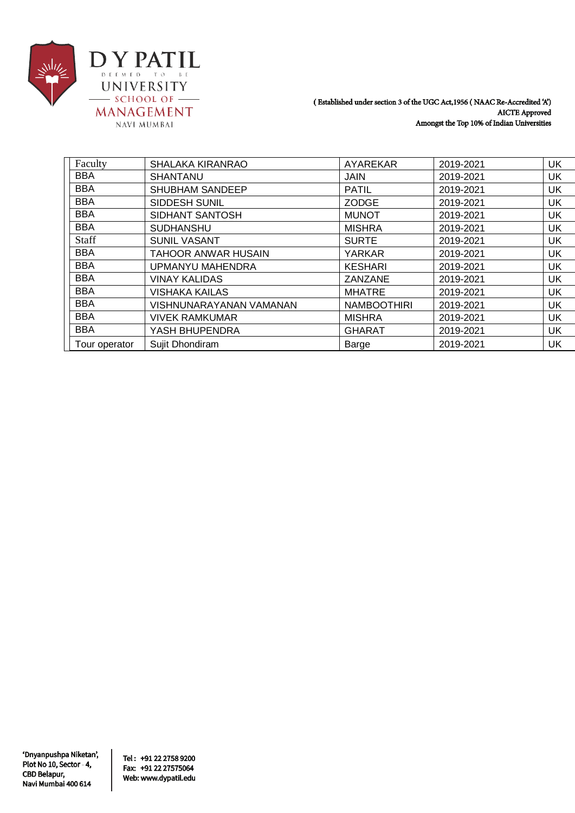

| Faculty       | SHALAKA KIRANRAO        | AYAREKAR           | 2019-2021 | UK |
|---------------|-------------------------|--------------------|-----------|----|
| <b>BBA</b>    | <b>SHANTANU</b>         | <b>JAIN</b>        | 2019-2021 | UK |
| <b>BBA</b>    | SHUBHAM SANDEEP         | <b>PATIL</b>       | 2019-2021 | UK |
| <b>BBA</b>    | <b>SIDDESH SUNIL</b>    | <b>ZODGE</b>       | 2019-2021 | UK |
| <b>BBA</b>    | SIDHANT SANTOSH         | <b>MUNOT</b>       | 2019-2021 | UK |
| <b>BBA</b>    | <b>SUDHANSHU</b>        | <b>MISHRA</b>      | 2019-2021 | UK |
| Staff         | <b>SUNIL VASANT</b>     | <b>SURTE</b>       | 2019-2021 | UK |
| <b>BBA</b>    | TAHOOR ANWAR HUSAIN     | YARKAR             | 2019-2021 | UK |
| <b>BBA</b>    | UPMANYU MAHENDRA        | <b>KESHARI</b>     | 2019-2021 | UK |
| <b>BBA</b>    | <b>VINAY KALIDAS</b>    | ZANZANE            | 2019-2021 | UK |
| <b>BBA</b>    | <b>VISHAKA KAILAS</b>   | <b>MHATRE</b>      | 2019-2021 | UK |
| <b>BBA</b>    | VISHNUNARAYANAN VAMANAN | <b>NAMBOOTHIRI</b> | 2019-2021 | UK |
| <b>BBA</b>    | <b>VIVEK RAMKUMAR</b>   | <b>MISHRA</b>      | 2019-2021 | UK |
| <b>BBA</b>    | YASH BHUPENDRA          | <b>GHARAT</b>      | 2019-2021 | UK |
| Tour operator | Sujit Dhondiram         | Barge              | 2019-2021 | UK |